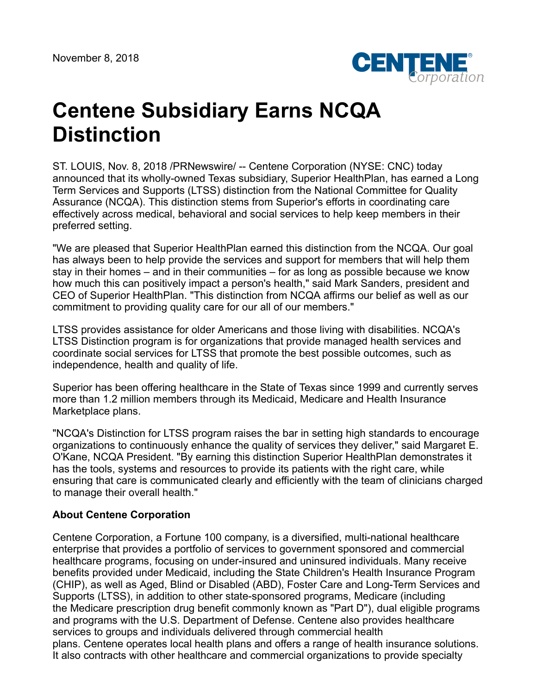

# **Centene Subsidiary Earns NCQA Distinction**

ST. LOUIS, Nov. 8, 2018 /PRNewswire/ -- Centene Corporation (NYSE: CNC) today announced that its wholly-owned Texas subsidiary, Superior HealthPlan, has earned a Long Term Services and Supports (LTSS) distinction from the National Committee for Quality Assurance (NCQA). This distinction stems from Superior's efforts in coordinating care effectively across medical, behavioral and social services to help keep members in their preferred setting.

"We are pleased that Superior HealthPlan earned this distinction from the NCQA. Our goal has always been to help provide the services and support for members that will help them stay in their homes – and in their communities – for as long as possible because we know how much this can positively impact a person's health," said Mark Sanders, president and CEO of Superior HealthPlan. "This distinction from NCQA affirms our belief as well as our commitment to providing quality care for our all of our members."

LTSS provides assistance for older Americans and those living with disabilities. NCQA's LTSS Distinction program is for organizations that provide managed health services and coordinate social services for LTSS that promote the best possible outcomes, such as independence, health and quality of life.

Superior has been offering healthcare in the State of Texas since 1999 and currently serves more than 1.2 million members through its Medicaid, Medicare and Health Insurance Marketplace plans.

"NCQA's Distinction for LTSS program raises the bar in setting high standards to encourage organizations to continuously enhance the quality of services they deliver," said Margaret E. O'Kane, NCQA President. "By earning this distinction Superior HealthPlan demonstrates it has the tools, systems and resources to provide its patients with the right care, while ensuring that care is communicated clearly and efficiently with the team of clinicians charged to manage their overall health."

## **About Centene Corporation**

Centene Corporation, a Fortune 100 company, is a diversified, multi-national healthcare enterprise that provides a portfolio of services to government sponsored and commercial healthcare programs, focusing on under-insured and uninsured individuals. Many receive benefits provided under Medicaid, including the State Children's Health Insurance Program (CHIP), as well as Aged, Blind or Disabled (ABD), Foster Care and Long-Term Services and Supports (LTSS), in addition to other state-sponsored programs, Medicare (including the Medicare prescription drug benefit commonly known as "Part D"), dual eligible programs and programs with the U.S. Department of Defense. Centene also provides healthcare services to groups and individuals delivered through commercial health plans. Centene operates local health plans and offers a range of health insurance solutions. It also contracts with other healthcare and commercial organizations to provide specialty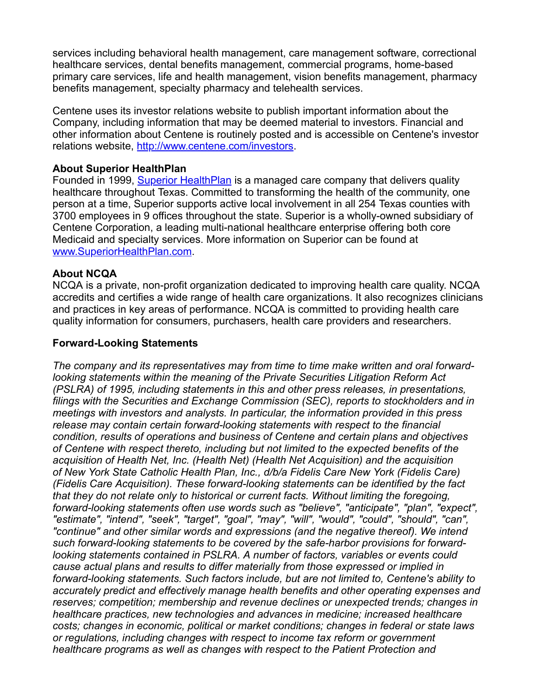services including behavioral health management, care management software, correctional healthcare services, dental benefits management, commercial programs, home-based primary care services, life and health management, vision benefits management, pharmacy benefits management, specialty pharmacy and telehealth services.

Centene uses its investor relations website to publish important information about the Company, including information that may be deemed material to investors. Financial and other information about Centene is routinely posted and is accessible on Centene's investor relations website, <http://www.centene.com/investors>.

#### **About Superior HealthPlan**

Founded in 1999, [Superior HealthPlan](http://www.superiorhealthplan.com/) is a managed care company that delivers quality healthcare throughout Texas. Committed to transforming the health of the community, one person at a time, Superior supports active local involvement in all 254 Texas counties with 3700 employees in 9 offices throughout the state. Superior is a wholly-owned subsidiary of Centene Corporation, a leading multi-national healthcare enterprise offering both core Medicaid and specialty services. More information on Superior can be found at [www.SuperiorHealthPlan.com.](http://www.superiorhealthplan.com/)

#### **About NCQA**

NCQA is a private, non-profit organization dedicated to improving health care quality. NCQA accredits and certifies a wide range of health care organizations. It also recognizes clinicians and practices in key areas of performance. NCQA is committed to providing health care quality information for consumers, purchasers, health care providers and researchers.

### **Forward-Looking Statements**

*The company and its representatives may from time to time make written and oral forwardlooking statements within the meaning of the Private Securities Litigation Reform Act (PSLRA) of 1995, including statements in this and other press releases, in presentations, filings with the Securities and Exchange Commission (SEC), reports to stockholders and in meetings with investors and analysts. In particular, the information provided in this press release may contain certain forward-looking statements with respect to the financial condition, results of operations and business of Centene and certain plans and objectives of Centene with respect thereto, including but not limited to the expected benefits of the acquisition of Health Net, Inc. (Health Net) (Health Net Acquisition) and the acquisition of New York State Catholic Health Plan, Inc., d/b/a Fidelis Care New York (Fidelis Care) (Fidelis Care Acquisition). These forward-looking statements can be identified by the fact that they do not relate only to historical or current facts. Without limiting the foregoing, forward-looking statements often use words such as "believe", "anticipate", "plan", "expect", "estimate", "intend", "seek", "target", "goal", "may", "will", "would", "could", "should", "can", "continue" and other similar words and expressions (and the negative thereof). We intend such forward-looking statements to be covered by the safe-harbor provisions for forwardlooking statements contained in PSLRA. A number of factors, variables or events could cause actual plans and results to differ materially from those expressed or implied in forward-looking statements. Such factors include, but are not limited to, Centene's ability to accurately predict and effectively manage health benefits and other operating expenses and reserves; competition; membership and revenue declines or unexpected trends; changes in healthcare practices, new technologies and advances in medicine; increased healthcare costs; changes in economic, political or market conditions; changes in federal or state laws or regulations, including changes with respect to income tax reform or government healthcare programs as well as changes with respect to the Patient Protection and*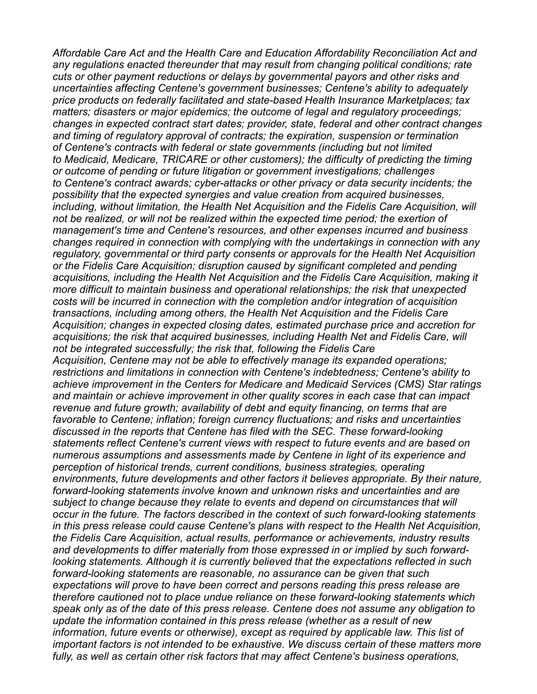*Affordable Care Act and the Health Care and Education Affordability Reconciliation Act and any regulations enacted thereunder that may result from changing political conditions; rate cuts or other payment reductions or delays by governmental payors and other risks and uncertainties affecting Centene's government businesses; Centene's ability to adequately price products on federally facilitated and state-based Health Insurance Marketplaces; tax matters; disasters or major epidemics; the outcome of legal and regulatory proceedings; changes in expected contract start dates; provider, state, federal and other contract changes and timing of regulatory approval of contracts; the expiration, suspension or termination of Centene's contracts with federal or state governments (including but not limited to Medicaid, Medicare, TRICARE or other customers); the difficulty of predicting the timing or outcome of pending or future litigation or government investigations; challenges to Centene's contract awards; cyber-attacks or other privacy or data security incidents; the possibility that the expected synergies and value creation from acquired businesses, including, without limitation, the Health Net Acquisition and the Fidelis Care Acquisition, will not be realized, or will not be realized within the expected time period; the exertion of management's time and Centene's resources, and other expenses incurred and business changes required in connection with complying with the undertakings in connection with any regulatory, governmental or third party consents or approvals for the Health Net Acquisition or the Fidelis Care Acquisition; disruption caused by significant completed and pending acquisitions, including the Health Net Acquisition and the Fidelis Care Acquisition, making it more difficult to maintain business and operational relationships; the risk that unexpected costs will be incurred in connection with the completion and/or integration of acquisition transactions, including among others, the Health Net Acquisition and the Fidelis Care Acquisition; changes in expected closing dates, estimated purchase price and accretion for acquisitions; the risk that acquired businesses, including Health Net and Fidelis Care, will not be integrated successfully; the risk that, following the Fidelis Care Acquisition, Centene may not be able to effectively manage its expanded operations; restrictions and limitations in connection with Centene's indebtedness; Centene's ability to achieve improvement in the Centers for Medicare and Medicaid Services (CMS) Star ratings and maintain or achieve improvement in other quality scores in each case that can impact revenue and future growth; availability of debt and equity financing, on terms that are favorable to Centene; inflation; foreign currency fluctuations; and risks and uncertainties discussed in the reports that Centene has filed with the SEC. These forward-looking statements reflect Centene's current views with respect to future events and are based on numerous assumptions and assessments made by Centene in light of its experience and perception of historical trends, current conditions, business strategies, operating environments, future developments and other factors it believes appropriate. By their nature, forward-looking statements involve known and unknown risks and uncertainties and are subject to change because they relate to events and depend on circumstances that will occur in the future. The factors described in the context of such forward-looking statements in this press release could cause Centene's plans with respect to the Health Net Acquisition, the Fidelis Care Acquisition, actual results, performance or achievements, industry results and developments to differ materially from those expressed in or implied by such forwardlooking statements. Although it is currently believed that the expectations reflected in such forward-looking statements are reasonable, no assurance can be given that such expectations will prove to have been correct and persons reading this press release are therefore cautioned not to place undue reliance on these forward-looking statements which speak only as of the date of this press release. Centene does not assume any obligation to update the information contained in this press release (whether as a result of new information, future events or otherwise), except as required by applicable law. This list of important factors is not intended to be exhaustive. We discuss certain of these matters more fully, as well as certain other risk factors that may affect Centene's business operations,*